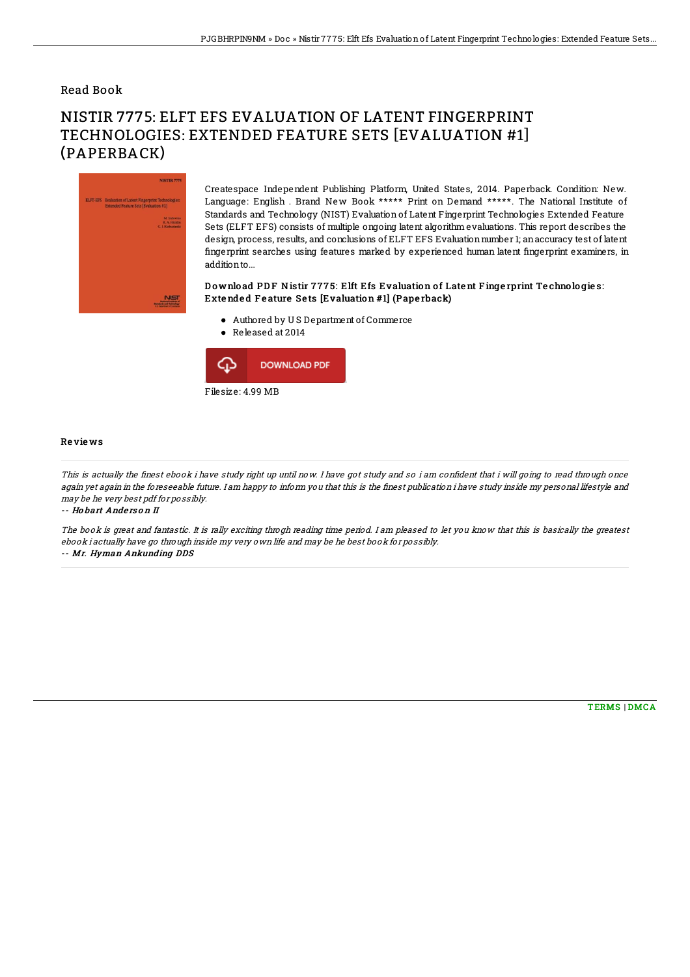### Read Book

# NISTIR 7775: ELFT EFS EVALUATION OF LATENT FINGERPRINT TECHNOLOGIES: EXTENDED FEATURE SETS [EVALUATION #1] (PAPERBACK)



Createspace Independent Publishing Platform, United States, 2014. Paperback. Condition: New. Language: English . Brand New Book \*\*\*\*\* Print on Demand \*\*\*\*\*. The National Institute of Standards and Technology (NIST) Evaluation of Latent Fingerprint Technologies Extended Feature Sets (ELFT EFS) consists of multiple ongoing latent algorithm evaluations. This report describes the design, process, results, and conclusions of ELFT EFS Evaluation number 1; an accuracy test of latent fingerprint searches using features marked by experienced human latent fingerprint examiners, in additionto...

#### Download PDF Nistir 7775: Elft Efs Evaluation of Latent Fingerprint Technologies: Exte nde d F e ature Se ts [Evaluation #1] (Pape rback)

- Authored by U S Department of Commerce
- Released at 2014



#### Re vie ws

This is actually the finest ebook i have study right up until now. I have got study and so i am confident that i will going to read through once again yet again in the foreseeable future. I am happy to inform you that this is the finest publication i have study inside my personal lifestyle and may be he very best pdf for possibly.

-- Ho bart Ande rs o <sup>n</sup> II

The book is great and fantastic. It is rally exciting throgh reading time period. I am pleased to let you know that this is basically the greatest ebook i actually have go through inside my very own life and may be he best book for possibly. -- Mr. Hyman Ankunding DDS